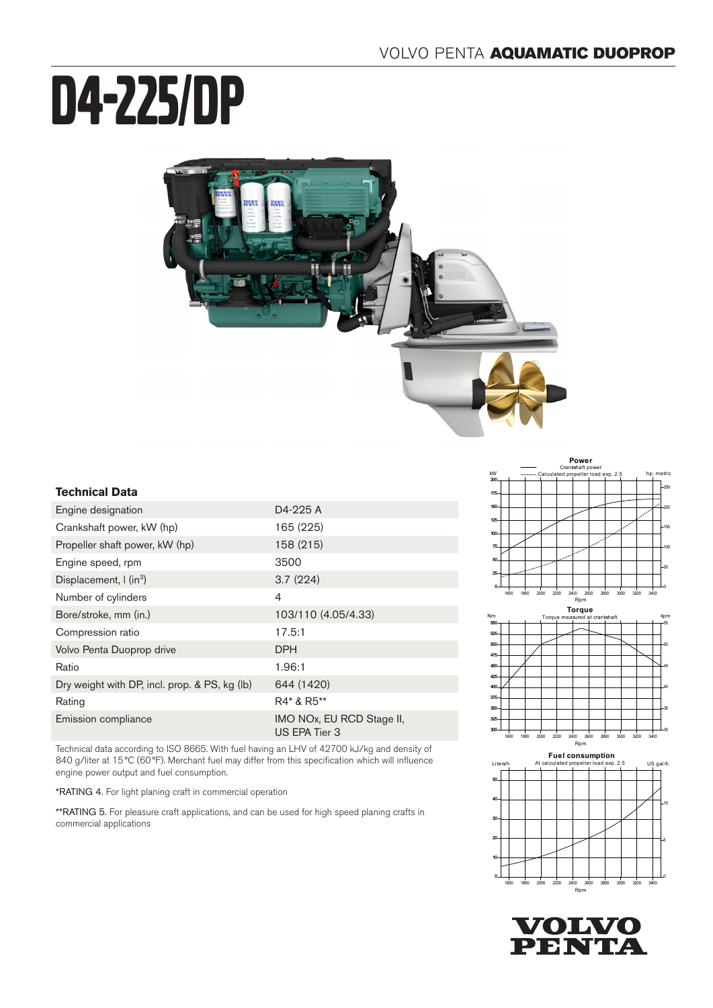# D4-225/DP



## **Technical Data**

| Engine designation                            | D4-225 A                                   |
|-----------------------------------------------|--------------------------------------------|
| Crankshaft power, kW (hp)                     | 165 (225)                                  |
| Propeller shaft power, kW (hp)                | 158 (215)                                  |
| Engine speed, rpm                             | 3500                                       |
| Displacement, $\int$ (in <sup>3</sup> )       | 3.7(224)                                   |
| Number of cylinders                           | 4                                          |
| Bore/stroke, mm (in.)                         | 103/110 (4.05/4.33)                        |
| Compression ratio                             | 17.5:1                                     |
| Volvo Penta Duoprop drive                     | DPH                                        |
| Ratio                                         | 1.96:1                                     |
| Dry weight with DP, incl. prop. & PS, kg (lb) | 644 (1420)                                 |
| Rating                                        | R4* & R5**                                 |
| Emission compliance                           | IMO NOx, EU RCD Stage II,<br>US EPA Tier 3 |
|                                               |                                            |

Technical data according to ISO 8665. With fuel having an LHV of 42700 kJ/kg and density of 840 g/liter at 15 °C (60°F). Merchant fuel may differ from this specification which will influence engine power output and fuel consumption.

\*RATING 4. For light planing craft in commercial operation

\*\*RATING 5. For pleasure craft applications, and can be used for high speed planing crafts in commercial applications



40



375 400 425